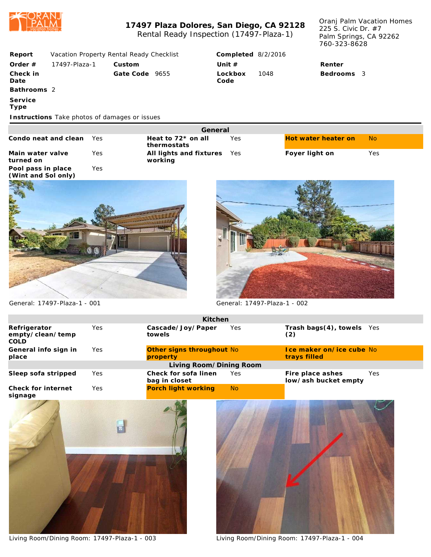

## **17497 Plaza Dolores, San Diego, CA 92128** Rental Ready Inspection (17497-Plaza-1)

Oranj Palm Vacation Homes 225 S. Civic Dr. #7 Palm Springs, CA 92262 760-323-8628

| Report                                        | Vacation Property Rental Ready Checklist |            |                |                                        |         | Completed 8/2/2016 |      |                |                     |           |  |
|-----------------------------------------------|------------------------------------------|------------|----------------|----------------------------------------|---------|--------------------|------|----------------|---------------------|-----------|--|
| Order $#$                                     | 17497-Plaza-1                            |            | Custom         |                                        |         | Unit $#$           |      |                | Renter              |           |  |
| Check in<br>Date                              |                                          |            | Gate Code 9655 |                                        |         | Lockbox<br>Code    | 1048 |                | Bedrooms 3          |           |  |
| Bathrooms 2                                   |                                          |            |                |                                        |         |                    |      |                |                     |           |  |
| Service<br>Type                               |                                          |            |                |                                        |         |                    |      |                |                     |           |  |
| Instructions Take photos of damages or issues |                                          |            |                |                                        |         |                    |      |                |                     |           |  |
|                                               |                                          |            |                |                                        | General |                    |      |                |                     |           |  |
| Condo neat and clean                          |                                          | Yes.       |                | Heat to $72*$ on all<br>thermostats    |         | Yes                |      |                | Hot water heater on | <b>No</b> |  |
| Main water valve<br>turned on                 |                                          | <b>Yes</b> |                | All lights and fixtures Yes<br>working |         |                    |      | Foyer light on |                     | Yes       |  |
| Pool pass in place<br>(Wint and Sol only)     |                                          | Yes        |                |                                        |         |                    |      |                |                     |           |  |
|                                               |                                          |            |                |                                        |         |                    |      |                |                     |           |  |





General: 17497-Plaza-1 - 001 General: 17497-Plaza-1 - 002

|                                                 |     | Kitchen                               |                |                                           |     |
|-------------------------------------------------|-----|---------------------------------------|----------------|-------------------------------------------|-----|
| Refrigerator<br>empty/clean/temp<br><b>COLD</b> | Yes | Cascade/Joy/Paper<br>towels           | Yes            | Trash bags(4), towels Yes<br>(2)          |     |
| General info sign in<br>place                   | Yes | Other signs throughout No<br>property |                | I ce maker on/ice cube No<br>trays filled |     |
|                                                 |     | Living Room/Dining Room               |                |                                           |     |
| Sleep sofa stripped                             | Yes | Check for sofa linen<br>bag in closet | Yes            | Fire place ashes<br>low/ash bucket empty  | Yes |
| Check for internet<br>$\sim$ $\sim$ $\sim$      | Yes | Porch light working                   | N <sub>o</sub> |                                           |     |



Living Room/Dining Room: 17497-Plaza-1 - 003 Living Room/Dining Room: 17497-Plaza-1 - 004

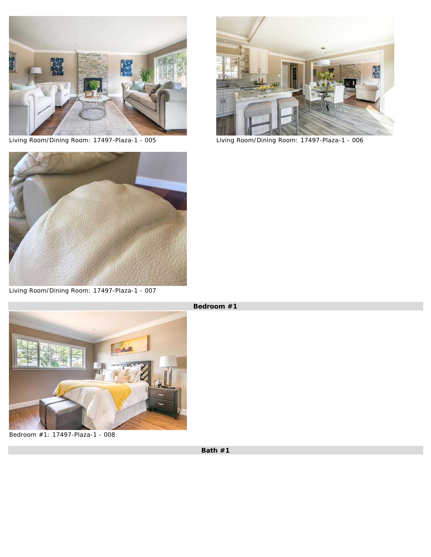



Living Room/Dining Room: 17497-Plaza-1 - 005 Living Room/Dining Room: 17497-Plaza-1 - 006



Living Room/Dining Room: 17497-Plaza-1 - 007



Bedroom #1: 17497-Plaza-1 - 008

**Bedroom #1**

**Bath #1**